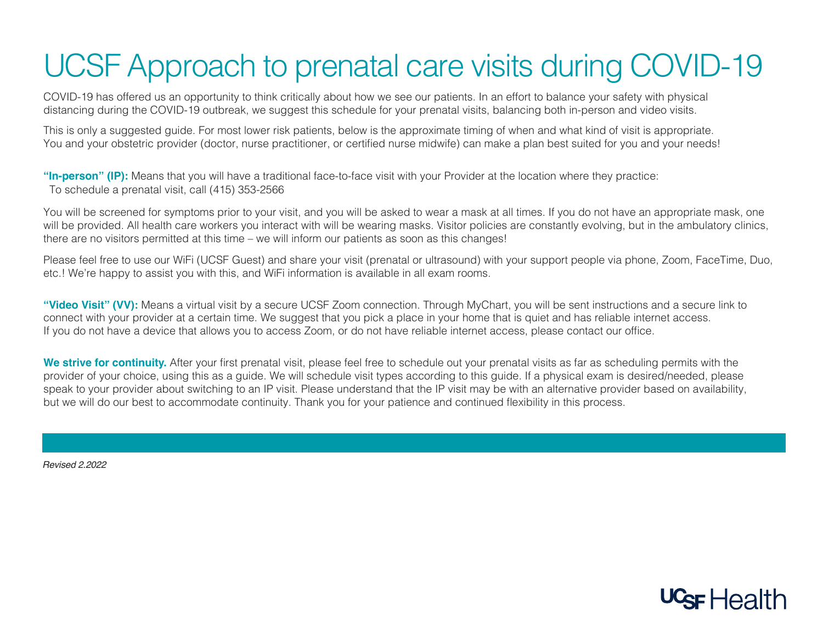## UCSF Approach to prenatal care visits during COVID-19

COVID-19 has offered us an opportunity to think critically about how we see our patients. In an effort to balance your safety with physical distancing during the COVID-19 outbreak, we suggest this schedule for your prenatal visits, balancing both in-person and video visits.

This is only a suggested guide. For most lower risk patients, below is the approximate timing of when and what kind of visit is appropriate. You and your obstetric provider (doctor, nurse practitioner, or certified nurse midwife) can make a plan best suited for you and your needs!

**"In-person" (IP):** Means that you will have a traditional face-to-face visit with your Provider at the location where they practice: To schedule a prenatal visit, call (415) 353-2566

You will be screened for symptoms prior to your visit, and you will be asked to wear a mask at all times. If you do not have an appropriate mask, one will be provided. All health care workers you interact with will be wearing masks. Visitor policies are constantly evolving, but in the ambulatory clinics, there are no visitors permitted at this time – we will inform our patients as soon as this changes!

Please feel free to use our WiFi (UCSF Guest) and share your visit (prenatal or ultrasound) with your support people via phone, Zoom, FaceTime, Duo, etc.! We're happy to assist you with this, and WiFi information is available in all exam rooms.

**"Video Visit" (VV):** Means a virtual visit by a secure UCSF Zoom connection. Through MyChart, you will be sent instructions and a secure link to connect with your provider at a certain time. We suggest that you pick a place in your home that is quiet and has reliable internet access. If you do not have a device that allows you to access Zoom, or do not have reliable internet access, please contact our office.

We strive for continuity. After your first prenatal visit, please feel free to schedule out your prenatal visits as far as scheduling permits with the provider of your choice, using this as a guide. We will schedule visit types according to this guide. If a physical exam is desired/needed, please speak to your provider about switching to an IP visit. Please understand that the IP visit may be with an alternative provider based on availability, but we will do our best to accommodate continuity. Thank you for your patience and continued flexibility in this process.

*Revised 2.2022*

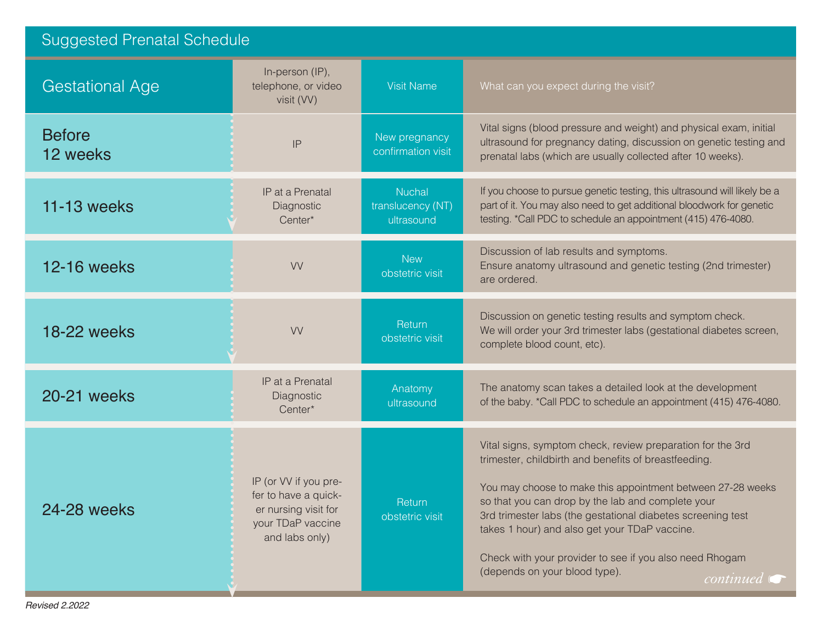| <b>Suggested Prenatal Schedule</b> |                                                                                                              |                                                  |                                                                                                                                                                                                                                                                                                                                                                                                                                                                            |  |
|------------------------------------|--------------------------------------------------------------------------------------------------------------|--------------------------------------------------|----------------------------------------------------------------------------------------------------------------------------------------------------------------------------------------------------------------------------------------------------------------------------------------------------------------------------------------------------------------------------------------------------------------------------------------------------------------------------|--|
| <b>Gestational Age</b>             | In-person (IP),<br>telephone, or video<br>visit (VV)                                                         | <b>Visit Name</b>                                | What can you expect during the visit?                                                                                                                                                                                                                                                                                                                                                                                                                                      |  |
| <b>Before</b><br>12 weeks          | IP                                                                                                           | New pregnancy<br>confirmation visit              | Vital signs (blood pressure and weight) and physical exam, initial<br>ultrasound for pregnancy dating, discussion on genetic testing and<br>prenatal labs (which are usually collected after 10 weeks).                                                                                                                                                                                                                                                                    |  |
| <b>11-13 weeks</b>                 | IP at a Prenatal<br>Diagnostic<br>Center*                                                                    | <b>Nuchal</b><br>translucency (NT)<br>ultrasound | If you choose to pursue genetic testing, this ultrasound will likely be a<br>part of it. You may also need to get additional bloodwork for genetic<br>testing. *Call PDC to schedule an appointment (415) 476-4080.                                                                                                                                                                                                                                                        |  |
| <b>12-16 weeks</b>                 | <b>VV</b>                                                                                                    | <b>New</b><br>obstetric visit                    | Discussion of lab results and symptoms.<br>Ensure anatomy ultrasound and genetic testing (2nd trimester)<br>are ordered.                                                                                                                                                                                                                                                                                                                                                   |  |
| <b>18-22 weeks</b>                 | <b>VV</b>                                                                                                    | Return<br>obstetric visit                        | Discussion on genetic testing results and symptom check.<br>We will order your 3rd trimester labs (gestational diabetes screen,<br>complete blood count, etc).                                                                                                                                                                                                                                                                                                             |  |
| 20-21 weeks                        | IP at a Prenatal<br>Diagnostic<br>Center*                                                                    | Anatomy<br>ultrasound                            | The anatomy scan takes a detailed look at the development<br>of the baby. *Call PDC to schedule an appointment (415) 476-4080.                                                                                                                                                                                                                                                                                                                                             |  |
| 24-28 weeks                        | IP (or VV if you pre-<br>fer to have a quick-<br>er nursing visit for<br>your TDaP vaccine<br>and labs only) | Return<br>obstetric visit                        | Vital signs, symptom check, review preparation for the 3rd<br>trimester, childbirth and benefits of breastfeeding.<br>You may choose to make this appointment between 27-28 weeks<br>so that you can drop by the lab and complete your<br>3rd trimester labs (the gestational diabetes screening test<br>takes 1 hour) and also get your TDaP vaccine.<br>Check with your provider to see if you also need Rhogam<br>(depends on your blood type).<br>$continued \; \big($ |  |